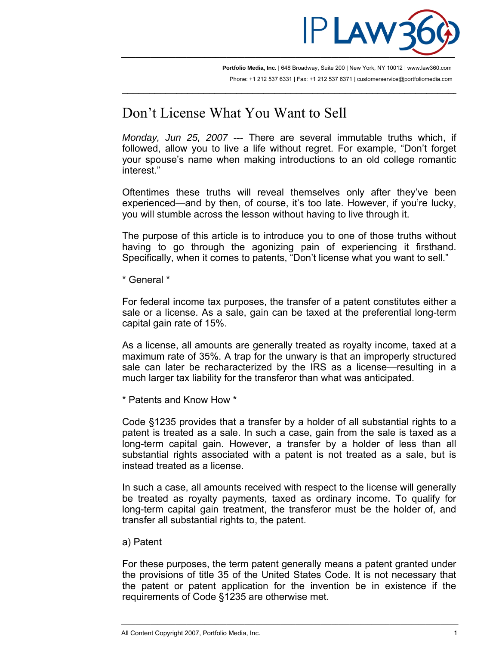

**Portfolio Media, Inc.** | 648 Broadway, Suite 200 | New York, NY 10012 | www.law360.com Phone: +1 212 537 6331 | Fax: +1 212 537 6371 | customerservice@portfoliomedia.com

 $\overline{\phantom{a}}$  , and the contribution of the contribution of the contribution of the contribution of the contribution of  $\overline{\phantom{a}}$ 

## Don't License What You Want to Sell

*Monday, Jun 25, 2007* --- There are several immutable truths which, if followed, allow you to live a life without regret. For example, "Don't forget your spouse's name when making introductions to an old college romantic interest."

Oftentimes these truths will reveal themselves only after they've been experienced—and by then, of course, it's too late. However, if you're lucky, you will stumble across the lesson without having to live through it.

The purpose of this article is to introduce you to one of those truths without having to go through the agonizing pain of experiencing it firsthand. Specifically, when it comes to patents, "Don't license what you want to sell."

\* General \*

For federal income tax purposes, the transfer of a patent constitutes either a sale or a license. As a sale, gain can be taxed at the preferential long-term capital gain rate of 15%.

As a license, all amounts are generally treated as royalty income, taxed at a maximum rate of 35%. A trap for the unwary is that an improperly structured sale can later be recharacterized by the IRS as a license—resulting in a much larger tax liability for the transferor than what was anticipated.

\* Patents and Know How \*

Code §1235 provides that a transfer by a holder of all substantial rights to a patent is treated as a sale. In such a case, gain from the sale is taxed as a long-term capital gain. However, a transfer by a holder of less than all substantial rights associated with a patent is not treated as a sale, but is instead treated as a license.

In such a case, all amounts received with respect to the license will generally be treated as royalty payments, taxed as ordinary income. To qualify for long-term capital gain treatment, the transferor must be the holder of, and transfer all substantial rights to, the patent.

a) Patent

For these purposes, the term patent generally means a patent granted under the provisions of title 35 of the United States Code. It is not necessary that the patent or patent application for the invention be in existence if the requirements of Code §1235 are otherwise met.

\_\_\_\_\_\_\_\_\_\_\_\_\_\_\_\_\_\_\_\_\_\_\_\_\_\_\_\_\_\_\_\_\_\_\_\_\_\_\_\_\_\_\_\_\_\_\_\_\_\_\_\_\_\_\_\_\_\_\_\_\_\_\_\_\_\_\_\_\_\_\_\_\_\_\_\_\_\_\_\_\_\_\_\_\_\_\_\_\_\_\_\_\_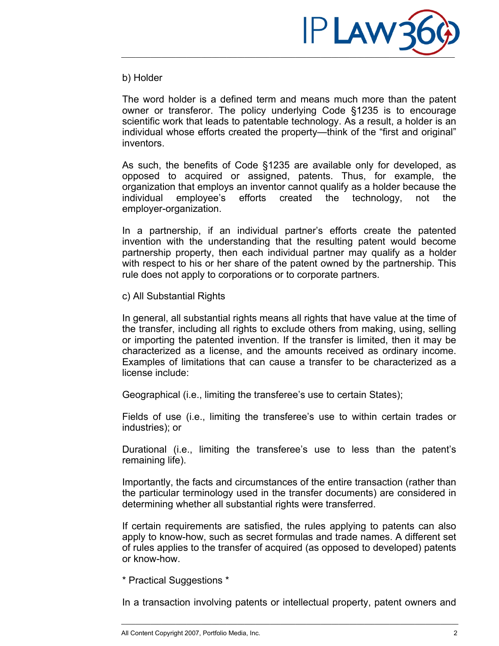

## b) Holder

The word holder is a defined term and means much more than the patent owner or transferor. The policy underlying Code §1235 is to encourage scientific work that leads to patentable technology. As a result, a holder is an individual whose efforts created the property—think of the "first and original" inventors.

As such, the benefits of Code §1235 are available only for developed, as opposed to acquired or assigned, patents. Thus, for example, the organization that employs an inventor cannot qualify as a holder because the individual employee's efforts created the technology, not the employer-organization.

In a partnership, if an individual partner's efforts create the patented invention with the understanding that the resulting patent would become partnership property, then each individual partner may qualify as a holder with respect to his or her share of the patent owned by the partnership. This rule does not apply to corporations or to corporate partners.

c) All Substantial Rights

In general, all substantial rights means all rights that have value at the time of the transfer, including all rights to exclude others from making, using, selling or importing the patented invention. If the transfer is limited, then it may be characterized as a license, and the amounts received as ordinary income. Examples of limitations that can cause a transfer to be characterized as a license include:

Geographical (i.e., limiting the transferee's use to certain States);

Fields of use (i.e., limiting the transferee's use to within certain trades or industries); or

Durational (i.e., limiting the transferee's use to less than the patent's remaining life).

Importantly, the facts and circumstances of the entire transaction (rather than the particular terminology used in the transfer documents) are considered in determining whether all substantial rights were transferred.

If certain requirements are satisfied, the rules applying to patents can also apply to know-how, such as secret formulas and trade names. A different set of rules applies to the transfer of acquired (as opposed to developed) patents or know-how.

\* Practical Suggestions \*

In a transaction involving patents or intellectual property, patent owners and

\_\_\_\_\_\_\_\_\_\_\_\_\_\_\_\_\_\_\_\_\_\_\_\_\_\_\_\_\_\_\_\_\_\_\_\_\_\_\_\_\_\_\_\_\_\_\_\_\_\_\_\_\_\_\_\_\_\_\_\_\_\_\_\_\_\_\_\_\_\_\_\_\_\_\_\_\_\_\_\_\_\_\_\_\_\_\_\_\_\_\_\_\_